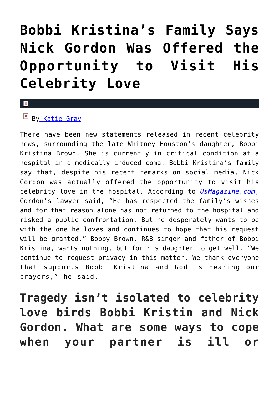# **[Bobbi Kristina's Family Says](https://cupidspulse.com/87168/bobbi-kristina-brown-family-says-nick-gordon-offered-opportunity-visit-celebrity-love/) [Nick Gordon Was Offered the](https://cupidspulse.com/87168/bobbi-kristina-brown-family-says-nick-gordon-offered-opportunity-visit-celebrity-love/) [Opportunity to Visit His](https://cupidspulse.com/87168/bobbi-kristina-brown-family-says-nick-gordon-offered-opportunity-visit-celebrity-love/) [Celebrity Love](https://cupidspulse.com/87168/bobbi-kristina-brown-family-says-nick-gordon-offered-opportunity-visit-celebrity-love/)**

#### $\mathbf x$

## $\mathbb{F}$  B[y Katie Gray](http://cupidspulse.com/105088/katie-gray/)

There have been new statements released in recent celebrity news, surrounding the late Whitney Houston's daughter, Bobbi Kristina Brown. She is currently in critical condition at a hospital in a medically induced coma. Bobbi Kristina's family say that, despite his recent remarks on social media, Nick Gordon was actually offered the opportunity to visit his celebrity love in the hospital. According to *[UsMagazine.com](http://www.usmagazine.com/celebrity-news/news/nick-gordon-wants-visit-bobbi-kristina-family-releases-statement-2015222)*, Gordon's lawyer said, "He has respected the family's wishes and for that reason alone has not returned to the hospital and risked a public confrontation. But he desperately wants to be with the one he loves and continues to hope that his request will be granted." Bobby Brown, R&B singer and father of Bobbi Kristina, wants nothing, but for his daughter to get well. "We continue to request privacy in this matter. We thank everyone that supports Bobbi Kristina and God is hearing our prayers," he said.

**Tragedy isn't isolated to celebrity love birds Bobbi Kristin and Nick Gordon. What are some ways to cope when your partner is ill or**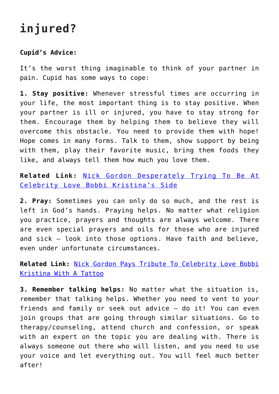# **injured?**

### **Cupid's Advice:**

It's the worst thing imaginable to think of your partner in pain. Cupid has some ways to cope:

**1. Stay positive:** Whenever stressful times are occurring in your life, the most important thing is to stay positive. When your partner is ill or injured, you have to stay strong for them. Encourage them by helping them to believe they will overcome this obstacle. You need to provide them with hope! Hope comes in many forms. Talk to them, show support by being with them, play their favorite music, bring them foods they like, and always tell them how much you love them.

**Related Link:** [Nick Gordon Desperately Trying To Be At](http://cupidspulse.com/87168/bobbi-kristina-brown-family-says-nick-gordon-offered-opportunity-visit-celebrity-love/) [Celebrity Love Bobbi Kristina's Side](http://cupidspulse.com/87168/bobbi-kristina-brown-family-says-nick-gordon-offered-opportunity-visit-celebrity-love/)

**2. Pray:** Sometimes you can only do so much, and the rest is left in God's hands. Praying helps. No matter what religion you practice, prayers and thoughts are always welcome. There are even special prayers and oils for those who are injured and sick – look into those options. Have faith and believe, even under unfortunate circumstances.

**Related Link:** [Nick Gordon Pays Tribute To Celebrity Love Bobbi](http://cupidspulse.com/86954/nick-gordon-celebrity-love-bobbi-kristina-tattoo/#more-86954) [Kristina With A Tattoo](http://cupidspulse.com/86954/nick-gordon-celebrity-love-bobbi-kristina-tattoo/#more-86954)

**3. Remember talking helps:** No matter what the situation is, remember that talking helps. Whether you need to vent to your friends and family or seek out advice – do it! You can even join groups that are going through similar situations. Go to therapy/counseling, attend church and confession, or speak with an expert on the topic you are dealing with. There is always someone out there who will listen, and you need to use your voice and let everything out. You will feel much better after!